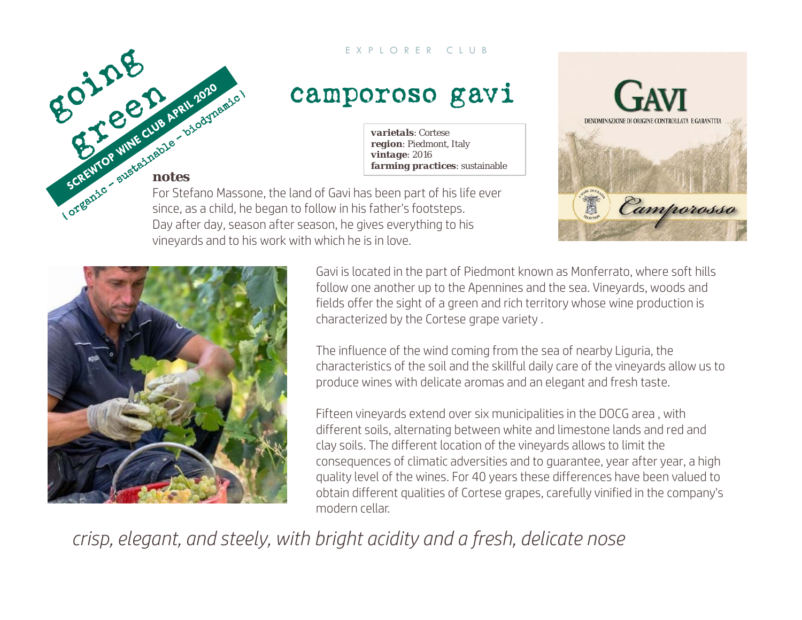#### EXPLORER CLUB

## camporoso gavi

*varietals*: Cortese*region*: Piedmont, Italy *vintage*: 2016 *farming practices*: sustainable

## *notes*

For Stefano Massone, the land of Gavi has been part of his life ever since, as a child, he began to follow in his father's footsteps. Day after day, season after season, he gives everything to his vineyards and to his work with which he is in love.





Gavi is located in the part of Piedmont known as Monferrato, where soft hills follow one another up to the Apennines and the sea. Vineyards, woods and fields offer the sight of a green and rich territory whose wine production is characterized by the Cortese grape variety .

The influence of the wind coming from the sea of nearby Liguria, the characteristics of the soil and the skillful daily care of the vineyards allow us to produce wines with delicate aromas and an elegant and fresh taste.

Fifteen vineyards extend over six municipalities in the DOCG area , with different soils, alternating between white and limestone lands and red and clay soils. The different location of the vineyards allows to limit the consequences of climatic adversities and to guarantee, year after year, a high quality level of the wines. For 40 years these differences have been valued to obtain different qualities of Cortese grapes, carefully vinified in the company's modern cellar.

*crisp, elegant, and steely, with bright acidity and a fresh, delicate nose*